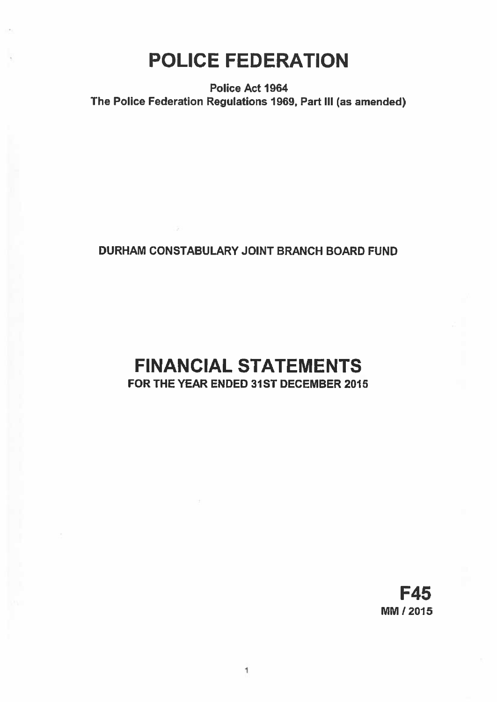# POLICE FEDERATION

Police Act 1964 The Police Federation Regulations 1969, Part Ill (as amended)

## DURHAM CONSTABULARY JOINT BRANCH BOARD FUND

## FINANCIAL STATEMENTS FOR THE YEAR ENDED 31ST DECEMBER 2015

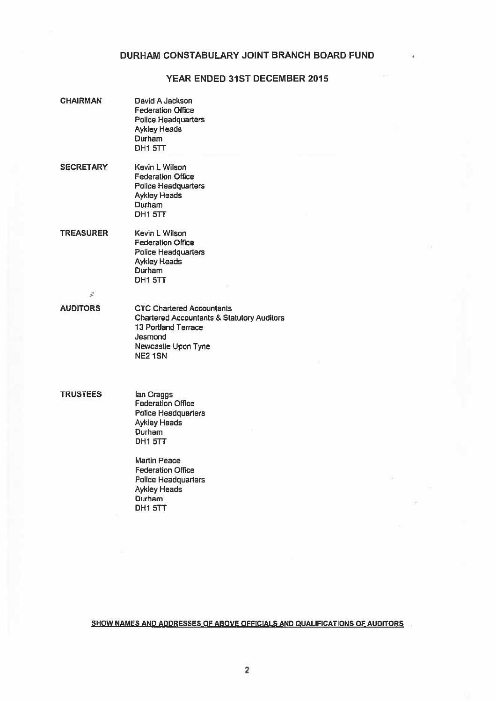## YEAR ENDED 31ST DECEMBER 2015

| <b>CHAIRMAN</b>        | David A Jackson<br><b>Federation Office</b><br><b>Police Headquarters</b><br><b>Aykley Heads</b><br>Durham<br>DH1 5TT                                         |
|------------------------|---------------------------------------------------------------------------------------------------------------------------------------------------------------|
| <b>SECRETARY</b>       | Kevin L Wilson<br><b>Federation Office</b><br><b>Police Headquarters</b><br><b>Aykley Heads</b><br>Durham<br>DH1 5TT                                          |
| <b>TREASURER</b>       | Kevin L Wilson<br><b>Federation Office</b><br><b>Police Headquarters</b><br><b>Aykley Heads</b><br>Durham<br>DH1 5TT                                          |
| $\mathcal{J}^{\prime}$ |                                                                                                                                                               |
| <b>AUDITORS</b>        | <b>CTC Chartered Accountants</b><br><b>Chartered Accountants &amp; Statutory Auditors</b><br>13 Portland Terrace<br>Jesmond<br>Newcastle Upon Tyne<br>NE2 1SN |
| <b>TRUSTEES</b>        | lan Craggs<br><b>Federation Office</b><br><b>Police Headquarters</b><br><b>Aykley Heads</b><br><b>Durham</b><br>DH1 5TT                                       |
|                        | $1.4 - 1.2 - 1.7$                                                                                                                                             |

Martin Peace Federation Office Police Headquarters Aykley Heads Durham DH<sub>1</sub> 5TT

SHOW NAMES AND ADDRESSES OF ABOVE OFFICIALS AND QUALIFICATIONS OF AUDITORS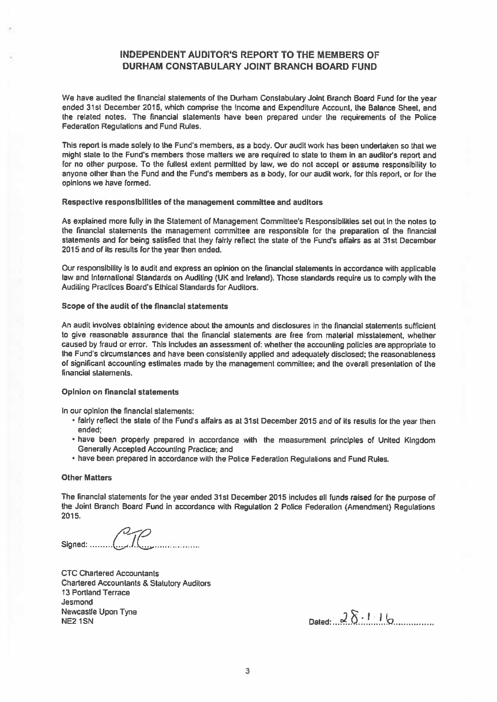### INDEPENDENT AUDITOR'S REPORT TO THE MEMBERS OF DURHAM CONSTABULARY JOINT BRANCH BOARD FUND

We have audited the financial statements of the Durham Constabulary Joint Branch Board Fund for the year ended 31st December 2015, which comprise the Income and Expenditure Account, the Balance Sheet, and the related notes. The financial statements have been prepared under the requirements of the Police Federation Regulations and Fund Rules.

This report is made solely to the Fund's members, as a body. Our audit work has been undertaken so that we might state to the Fund's members those matters we are required to slate to them in an auditor's repor<sup>t</sup> and for no other purpose. To the fullest extent permitted by law, we do not accep<sup>t</sup> or assume responsibility to anyone other than the Fund and the Fund's members as <sup>a</sup> body, for our audit work, for this report, or for the opinions we have formed.

#### Respective responsibilities of the managemen<sup>t</sup> committee and auditors

As explained more fully in the Statement of Management Committee's Responsibilities set out in the notes to the financial statements the managemen<sup>t</sup> committee are responsible for the preparation of the financial statements and for being satisfied that they fairly reflect the state of the Fund's affairs as at 31st December 2015 and of its results for the year then ended.

Our responsibility is to audit and express an opinion on the financial statements In accordance with applicable law and International Standards on Auditing (UK and Ireland). Those standards require us to comply with the Auditing Practices Board's Ethical Standards For Auditors.

#### Scope of the audit of the financial statements

An audit involves obtaining evidence about the amounts and disclosures in the financial statements sufficient to give reasonable assurance that the financial statements are free from material misstatement, whether caused by fraud or error. This includes an assessment of: whether the accounting policies are appropriate to the Fund's circumstances and have been consistently applied and adequately disclosed; the reasonableness of significant accounting estimates made by the managemen<sup>t</sup> committee; and the overall presentation of the financial statements.

### Opinion on financial statements

In our opinion the financial statements:

- fairly reflect the state of the Fund's affairs as at 31st December <sup>2015</sup> and of its results for the year then ended;
- have been properly prepare<sup>d</sup> in accordance with the measurement principles of United Kingdom Generally Accepted Accounting Practice; and
- have been prepared in accordance with the Police Federation Regulations and Fund Rules.

#### Other Matters

The financial statements for the year ended 31st December <sup>2015</sup> includes alt funds raised for the purpose of the Joint Branch Board Fund in accordance with Regulation <sup>2</sup> Police Federation (Amendment) Regulations 2015.

Signed: ......

CTC Chartered Accountants Chartered Accountants & Statutory Auditors 13 Portland Terrace Jesmond Newcastle Upon Tyne  $\frac{1}{2}$  Newcastle Upon Tyne  $\frac{1}{2}$  NE2 1SN  $\frac{1}{2}$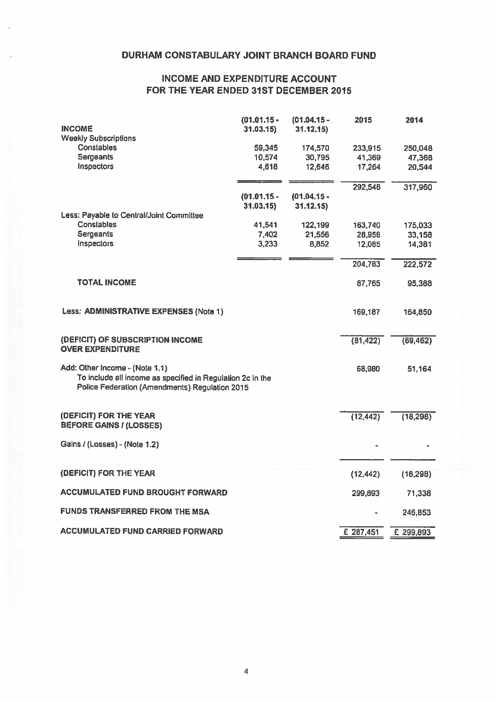## INCOME AND EXPENDITURE ACCOUNT FOR THE YEAR ENDED 31ST DECEMBER 2015

| <b>INCOME</b>                                                                                                                                  | $(01.01.15 -$<br>31.03.15 | $(01.04.15 -$<br>31.12.15 | 2015      | 2014      |
|------------------------------------------------------------------------------------------------------------------------------------------------|---------------------------|---------------------------|-----------|-----------|
| <b>Weekly Subscriptions</b>                                                                                                                    |                           |                           |           |           |
| Constables                                                                                                                                     | 59,345                    | 174,570                   | 233,915   | 250,048   |
| Sergeants                                                                                                                                      | 10,574                    | 30,795                    | 41,369    | 47,368    |
| Inspectors                                                                                                                                     | 4,618                     | 12,646                    | 17,264    | 20,544    |
|                                                                                                                                                |                           |                           | 292,548   | 317,960   |
|                                                                                                                                                | $(01.01.15 -$             | $(01.04.15 -$             |           |           |
|                                                                                                                                                | 31.03.15                  | 31.12.15                  |           |           |
| Less: Payable to Central/Joint Committee                                                                                                       |                           |                           |           |           |
| Constables                                                                                                                                     | 41,541                    | 122,199                   | 163,740   | 175,033   |
| Sergeants                                                                                                                                      | 7,402                     | 21,556                    | 28,958    | 33,158    |
| Inspectors                                                                                                                                     | 3,233                     | 8,852                     | 12,085    | 14,381    |
|                                                                                                                                                |                           |                           | 204,783   | 222,572   |
| <b>TOTAL INCOME</b>                                                                                                                            |                           |                           | 87,765    | 95,388    |
| Less: ADMINISTRATIVE EXPENSES (Note 1)                                                                                                         |                           |                           | 169,187   | 164,850   |
| (DEFICIT) OF SUBSCRIPTION INCOME<br><b>OVER EXPENDITURE</b>                                                                                    |                           |                           | (81, 422) | (69, 462) |
| Add: Other Income - (Note 1.1)<br>To include all income as specified in Regulation 2c in the<br>Police Federation (Amendments) Regulation 2015 |                           |                           | 68,980    | 51,164    |
| (DEFICIT) FOR THE YEAR<br><b>BEFORE GAINS / (LOSSES)</b>                                                                                       |                           |                           | (12, 442) | (18, 298) |
| Gains / (Losses) - (Note 1.2)                                                                                                                  |                           |                           |           |           |
|                                                                                                                                                |                           |                           |           |           |
| (DEFICIT) FOR THE YEAR                                                                                                                         |                           |                           | (12, 442) | (18,298)  |
| <b>ACCUMULATED FUND BROUGHT FORWARD</b>                                                                                                        |                           |                           | 299,893   | 71,338    |
| <b>FUNDS TRANSFERRED FROM THE MSA</b>                                                                                                          |                           |                           |           | 246,853   |
| <b>ACCUMULATED FUND CARRIED FORWARD</b>                                                                                                        |                           |                           | £ 287,451 | £ 299,893 |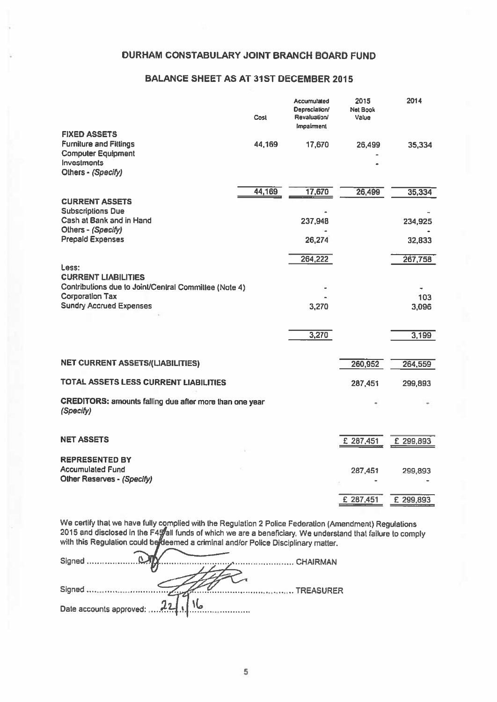## BALANCE SHEET AS AT 31ST DECEMBER 2015

|                                                                                   | Cost   | Accumulated<br>Depreciation/<br>Revaluation/<br>Impairment | 2015<br>Net Book<br>Value | 2014         |
|-----------------------------------------------------------------------------------|--------|------------------------------------------------------------|---------------------------|--------------|
| <b>FIXED ASSETS</b><br><b>Furniture and Fittings</b><br><b>Computer Equipment</b> | 44,169 | 17,670                                                     | 26,499                    | 35,334       |
| <b>Investments</b><br>Others - (Specify)                                          |        |                                                            |                           |              |
|                                                                                   | 44,169 | 17,670                                                     | 26,499                    | 35,334       |
| <b>CURRENT ASSETS</b><br><b>Subscriptions Due</b>                                 |        |                                                            |                           |              |
| Cash at Bank and in Hand<br>Others - (Specify)                                    |        | 237,948                                                    |                           | 234,925      |
| <b>Prepaid Expenses</b>                                                           |        | 26,274                                                     |                           | 32,833       |
|                                                                                   |        | 264,222                                                    |                           | 267,758      |
| Less:<br><b>CURRENT LIABILITIES</b>                                               |        |                                                            |                           |              |
| Contributions due to Joint/Central Committee (Note 4)                             |        |                                                            |                           |              |
| <b>Corporation Tax</b><br><b>Sundry Accrued Expenses</b>                          |        | 3,270                                                      |                           | 103<br>3,096 |
|                                                                                   |        |                                                            |                           |              |
|                                                                                   |        | 3,270                                                      |                           | 3,199        |
| <b>NET CURRENT ASSETS/(LIABILITIES)</b>                                           |        |                                                            | 260,952                   | 264,559      |
|                                                                                   |        |                                                            |                           |              |
| TOTAL ASSETS LESS CURRENT LIABILITIES                                             |        |                                                            | 287,451                   | 299,893      |
| CREDITORS: amounts falling due after more than one year<br>(Specify)              |        |                                                            |                           |              |
| <b>NET ASSETS</b>                                                                 |        |                                                            |                           |              |
|                                                                                   |        |                                                            | £ 287,451                 | £ 299,893    |
| <b>REPRESENTED BY</b><br><b>Accumulated Fund</b><br>Other Reserves - (Specify)    |        |                                                            | 287,451                   | 299,893      |
|                                                                                   |        |                                                            |                           |              |
|                                                                                   |        |                                                            | £ 287,451                 | £ 299,893    |

We certify that we have fully complied with lhe Regulation <sup>2</sup> Police Federation (Amendment) Regulalions 2015 and disclosed in the F4 $\!mathcal{G}$ all funds of which we are a beneficiary. We understand that failure to comply with this Regulalion could be*i*fdeemed a criminal and/or Police Disciplinary matter.

| TREASURER                        |  |
|----------------------------------|--|
|                                  |  |
| Date accounts approved: 221 J No |  |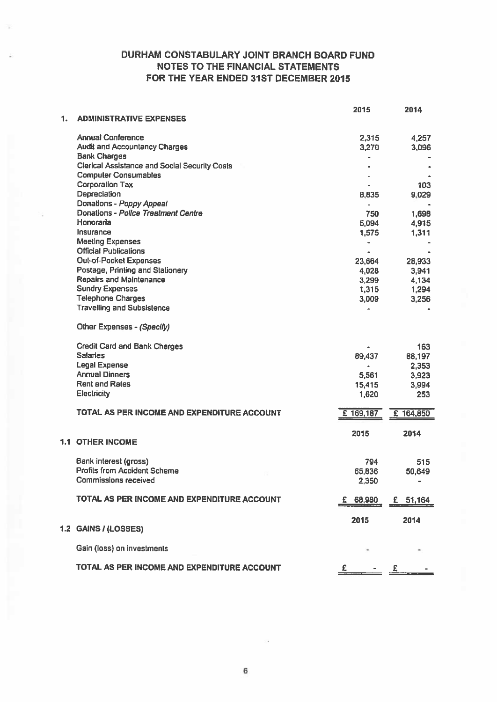## DURHAM CONSTABULARY JOINT BRANCH BOARD FUND NOTES TO THE FINANCIAL STATEMENTS FOR THE YEAR ENDED 31ST DECEMBER 2015

| <b>Annual Conference</b><br>2,315<br>4,257<br><b>Audit and Accountancy Charges</b><br>3,270<br>3,096<br><b>Bank Charges</b><br><b>Clerical Assistance and Social Security Costs</b><br><b>Computer Consumables</b><br><b>Corporation Tax</b><br>103<br>Depreciation<br>8,835<br>9,029<br>Donations - Poppy Appeal<br>Ξ.<br>Donations - Police Treatment Centre<br>1,698<br>750<br>Honoraria<br>5,094<br>4,915<br>Insurance<br>1,575<br>1,311<br><b>Meeting Expenses</b><br>$\bullet$<br><b>Official Publications</b><br>Out-of-Pocket Expenses<br>23,664<br>28,933<br>Postage, Printing and Stationery<br>4,028<br>3,941<br><b>Repairs and Maintenance</b><br>4,134<br>3,299<br><b>Sundry Expenses</b><br>1,315<br>1,294<br><b>Telephone Charges</b><br>3,009<br>3,256<br><b>Travelling and Subsistence</b><br>Other Expenses - (Specify)<br><b>Credit Card and Bank Charges</b><br>163<br><b>Salaries</b><br>89,437<br>88,197<br><b>Legal Expense</b><br>2,353<br>$\bullet$<br><b>Annual Dinners</b><br>3,923<br>5,561<br><b>Rent and Rates</b><br>3,994<br>15,415<br>Electricity<br>1,620<br>253<br>TOTAL AS PER INCOME AND EXPENDITURE ACCOUNT<br>£ 169,187<br>£ 164,850<br>2014<br>2015<br><b>1.1 OTHER INCOME</b><br>Bank interest (gross)<br>794<br>515<br><b>Profits from Accident Scheme</b><br>65,836<br>50,649<br><b>Commissions received</b><br>2,350<br>TOTAL AS PER INCOME AND EXPENDITURE ACCOUNT<br>68,980<br>£ 51,164<br>2015<br>2014<br>1.2 GAINS / (LOSSES)<br>Gain (loss) on investments<br>TOTAL AS PER INCOME AND EXPENDITURE ACCOUNT |    |                                | 2015 | 2014 |
|------------------------------------------------------------------------------------------------------------------------------------------------------------------------------------------------------------------------------------------------------------------------------------------------------------------------------------------------------------------------------------------------------------------------------------------------------------------------------------------------------------------------------------------------------------------------------------------------------------------------------------------------------------------------------------------------------------------------------------------------------------------------------------------------------------------------------------------------------------------------------------------------------------------------------------------------------------------------------------------------------------------------------------------------------------------------------------------------------------------------------------------------------------------------------------------------------------------------------------------------------------------------------------------------------------------------------------------------------------------------------------------------------------------------------------------------------------------------------------------------------------------------------------------------------------|----|--------------------------------|------|------|
|                                                                                                                                                                                                                                                                                                                                                                                                                                                                                                                                                                                                                                                                                                                                                                                                                                                                                                                                                                                                                                                                                                                                                                                                                                                                                                                                                                                                                                                                                                                                                            | 1. | <b>ADMINISTRATIVE EXPENSES</b> |      |      |
|                                                                                                                                                                                                                                                                                                                                                                                                                                                                                                                                                                                                                                                                                                                                                                                                                                                                                                                                                                                                                                                                                                                                                                                                                                                                                                                                                                                                                                                                                                                                                            |    |                                |      |      |
|                                                                                                                                                                                                                                                                                                                                                                                                                                                                                                                                                                                                                                                                                                                                                                                                                                                                                                                                                                                                                                                                                                                                                                                                                                                                                                                                                                                                                                                                                                                                                            |    |                                |      |      |
|                                                                                                                                                                                                                                                                                                                                                                                                                                                                                                                                                                                                                                                                                                                                                                                                                                                                                                                                                                                                                                                                                                                                                                                                                                                                                                                                                                                                                                                                                                                                                            |    |                                |      |      |
|                                                                                                                                                                                                                                                                                                                                                                                                                                                                                                                                                                                                                                                                                                                                                                                                                                                                                                                                                                                                                                                                                                                                                                                                                                                                                                                                                                                                                                                                                                                                                            |    |                                |      |      |
|                                                                                                                                                                                                                                                                                                                                                                                                                                                                                                                                                                                                                                                                                                                                                                                                                                                                                                                                                                                                                                                                                                                                                                                                                                                                                                                                                                                                                                                                                                                                                            |    |                                |      |      |
|                                                                                                                                                                                                                                                                                                                                                                                                                                                                                                                                                                                                                                                                                                                                                                                                                                                                                                                                                                                                                                                                                                                                                                                                                                                                                                                                                                                                                                                                                                                                                            |    |                                |      |      |
|                                                                                                                                                                                                                                                                                                                                                                                                                                                                                                                                                                                                                                                                                                                                                                                                                                                                                                                                                                                                                                                                                                                                                                                                                                                                                                                                                                                                                                                                                                                                                            |    |                                |      |      |
|                                                                                                                                                                                                                                                                                                                                                                                                                                                                                                                                                                                                                                                                                                                                                                                                                                                                                                                                                                                                                                                                                                                                                                                                                                                                                                                                                                                                                                                                                                                                                            |    |                                |      |      |
|                                                                                                                                                                                                                                                                                                                                                                                                                                                                                                                                                                                                                                                                                                                                                                                                                                                                                                                                                                                                                                                                                                                                                                                                                                                                                                                                                                                                                                                                                                                                                            |    |                                |      |      |
|                                                                                                                                                                                                                                                                                                                                                                                                                                                                                                                                                                                                                                                                                                                                                                                                                                                                                                                                                                                                                                                                                                                                                                                                                                                                                                                                                                                                                                                                                                                                                            |    |                                |      |      |
|                                                                                                                                                                                                                                                                                                                                                                                                                                                                                                                                                                                                                                                                                                                                                                                                                                                                                                                                                                                                                                                                                                                                                                                                                                                                                                                                                                                                                                                                                                                                                            |    |                                |      |      |
|                                                                                                                                                                                                                                                                                                                                                                                                                                                                                                                                                                                                                                                                                                                                                                                                                                                                                                                                                                                                                                                                                                                                                                                                                                                                                                                                                                                                                                                                                                                                                            |    |                                |      |      |
|                                                                                                                                                                                                                                                                                                                                                                                                                                                                                                                                                                                                                                                                                                                                                                                                                                                                                                                                                                                                                                                                                                                                                                                                                                                                                                                                                                                                                                                                                                                                                            |    |                                |      |      |
|                                                                                                                                                                                                                                                                                                                                                                                                                                                                                                                                                                                                                                                                                                                                                                                                                                                                                                                                                                                                                                                                                                                                                                                                                                                                                                                                                                                                                                                                                                                                                            |    |                                |      |      |
|                                                                                                                                                                                                                                                                                                                                                                                                                                                                                                                                                                                                                                                                                                                                                                                                                                                                                                                                                                                                                                                                                                                                                                                                                                                                                                                                                                                                                                                                                                                                                            |    |                                |      |      |
|                                                                                                                                                                                                                                                                                                                                                                                                                                                                                                                                                                                                                                                                                                                                                                                                                                                                                                                                                                                                                                                                                                                                                                                                                                                                                                                                                                                                                                                                                                                                                            |    |                                |      |      |
|                                                                                                                                                                                                                                                                                                                                                                                                                                                                                                                                                                                                                                                                                                                                                                                                                                                                                                                                                                                                                                                                                                                                                                                                                                                                                                                                                                                                                                                                                                                                                            |    |                                |      |      |
|                                                                                                                                                                                                                                                                                                                                                                                                                                                                                                                                                                                                                                                                                                                                                                                                                                                                                                                                                                                                                                                                                                                                                                                                                                                                                                                                                                                                                                                                                                                                                            |    |                                |      |      |
|                                                                                                                                                                                                                                                                                                                                                                                                                                                                                                                                                                                                                                                                                                                                                                                                                                                                                                                                                                                                                                                                                                                                                                                                                                                                                                                                                                                                                                                                                                                                                            |    |                                |      |      |
|                                                                                                                                                                                                                                                                                                                                                                                                                                                                                                                                                                                                                                                                                                                                                                                                                                                                                                                                                                                                                                                                                                                                                                                                                                                                                                                                                                                                                                                                                                                                                            |    |                                |      |      |
|                                                                                                                                                                                                                                                                                                                                                                                                                                                                                                                                                                                                                                                                                                                                                                                                                                                                                                                                                                                                                                                                                                                                                                                                                                                                                                                                                                                                                                                                                                                                                            |    |                                |      |      |
|                                                                                                                                                                                                                                                                                                                                                                                                                                                                                                                                                                                                                                                                                                                                                                                                                                                                                                                                                                                                                                                                                                                                                                                                                                                                                                                                                                                                                                                                                                                                                            |    |                                |      |      |
|                                                                                                                                                                                                                                                                                                                                                                                                                                                                                                                                                                                                                                                                                                                                                                                                                                                                                                                                                                                                                                                                                                                                                                                                                                                                                                                                                                                                                                                                                                                                                            |    |                                |      |      |
|                                                                                                                                                                                                                                                                                                                                                                                                                                                                                                                                                                                                                                                                                                                                                                                                                                                                                                                                                                                                                                                                                                                                                                                                                                                                                                                                                                                                                                                                                                                                                            |    |                                |      |      |
|                                                                                                                                                                                                                                                                                                                                                                                                                                                                                                                                                                                                                                                                                                                                                                                                                                                                                                                                                                                                                                                                                                                                                                                                                                                                                                                                                                                                                                                                                                                                                            |    |                                |      |      |
|                                                                                                                                                                                                                                                                                                                                                                                                                                                                                                                                                                                                                                                                                                                                                                                                                                                                                                                                                                                                                                                                                                                                                                                                                                                                                                                                                                                                                                                                                                                                                            |    |                                |      |      |
|                                                                                                                                                                                                                                                                                                                                                                                                                                                                                                                                                                                                                                                                                                                                                                                                                                                                                                                                                                                                                                                                                                                                                                                                                                                                                                                                                                                                                                                                                                                                                            |    |                                |      |      |
|                                                                                                                                                                                                                                                                                                                                                                                                                                                                                                                                                                                                                                                                                                                                                                                                                                                                                                                                                                                                                                                                                                                                                                                                                                                                                                                                                                                                                                                                                                                                                            |    |                                |      |      |
|                                                                                                                                                                                                                                                                                                                                                                                                                                                                                                                                                                                                                                                                                                                                                                                                                                                                                                                                                                                                                                                                                                                                                                                                                                                                                                                                                                                                                                                                                                                                                            |    |                                |      |      |
|                                                                                                                                                                                                                                                                                                                                                                                                                                                                                                                                                                                                                                                                                                                                                                                                                                                                                                                                                                                                                                                                                                                                                                                                                                                                                                                                                                                                                                                                                                                                                            |    |                                |      |      |
|                                                                                                                                                                                                                                                                                                                                                                                                                                                                                                                                                                                                                                                                                                                                                                                                                                                                                                                                                                                                                                                                                                                                                                                                                                                                                                                                                                                                                                                                                                                                                            |    |                                |      |      |
|                                                                                                                                                                                                                                                                                                                                                                                                                                                                                                                                                                                                                                                                                                                                                                                                                                                                                                                                                                                                                                                                                                                                                                                                                                                                                                                                                                                                                                                                                                                                                            |    |                                |      |      |
|                                                                                                                                                                                                                                                                                                                                                                                                                                                                                                                                                                                                                                                                                                                                                                                                                                                                                                                                                                                                                                                                                                                                                                                                                                                                                                                                                                                                                                                                                                                                                            |    |                                |      |      |
|                                                                                                                                                                                                                                                                                                                                                                                                                                                                                                                                                                                                                                                                                                                                                                                                                                                                                                                                                                                                                                                                                                                                                                                                                                                                                                                                                                                                                                                                                                                                                            |    |                                |      |      |
|                                                                                                                                                                                                                                                                                                                                                                                                                                                                                                                                                                                                                                                                                                                                                                                                                                                                                                                                                                                                                                                                                                                                                                                                                                                                                                                                                                                                                                                                                                                                                            |    |                                |      |      |
|                                                                                                                                                                                                                                                                                                                                                                                                                                                                                                                                                                                                                                                                                                                                                                                                                                                                                                                                                                                                                                                                                                                                                                                                                                                                                                                                                                                                                                                                                                                                                            |    |                                |      |      |
|                                                                                                                                                                                                                                                                                                                                                                                                                                                                                                                                                                                                                                                                                                                                                                                                                                                                                                                                                                                                                                                                                                                                                                                                                                                                                                                                                                                                                                                                                                                                                            |    |                                |      |      |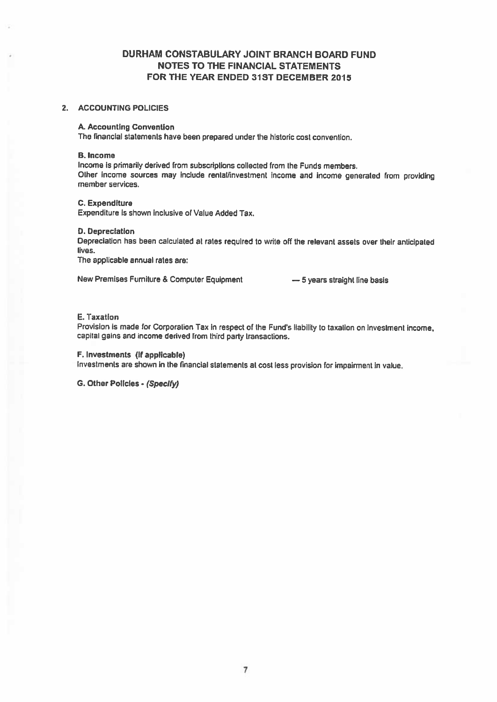## DURHAM CONSTABULARY JOINT BRANCH BOARD FUND NOTES TO THE FINANCIAL STATEMENTS FOR THE YEAR ENDED 31ST DECEMBER 2015

#### 2. ACCOUNTiNG POLICIES

#### A. Accounting Convention

The financial statements have been prepared under the historic cost convention.

#### B. Income

Income is primarily derived from subscriptions collected from the Funds members. Other income sources may include rental/investment income and Income generated from providing member services.

#### C. Expenditure

Expenditure is shown Inclusive of Value Added Tax.

#### D. Depreciation

Depreciation has been calculated at rates required to write off the relevant assets over their anticipated lives.

The applicable annual rates are:

New Premises Furniture & Computer Equipment — 5 years straight line basis

#### E. Taxation

Provision is made for Corporation Tax in respect of the Fund's liability to taxation on investment income, capital gains and income derived from third party transactions.

#### F. Investments (if applicable)

Investments are shown in the financial statements at cost less provision for impairment in value.

G. Other PolIcies- (Specify)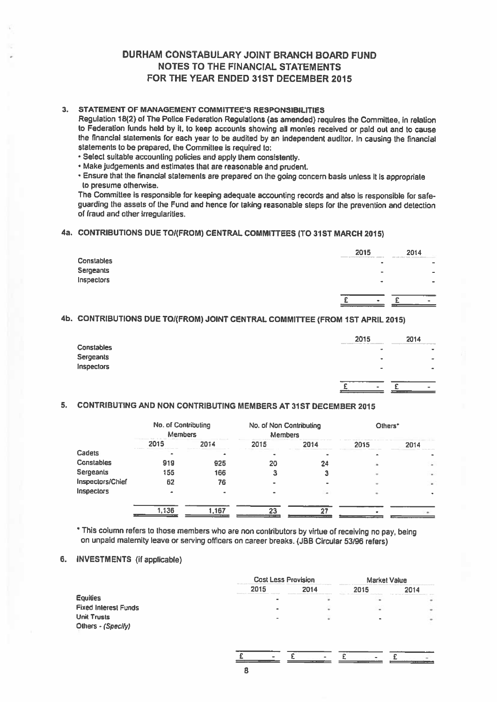## DURHAM CONSTABULARY JOINT BRANCH BOARD FUND NOTES TO THE FINANCIAL STATEMENTS FOR THE YEAR ENDED 31ST DECEMBER 2015

#### 3. STATEMENT OF MANAGEMENT COMMITTEE'S RESPONSIBILITIES

Regulation 18(2) of The Police Federation Regulations (as amended) requires the Committee, in relation to Federation funds held by it, to keep accounts showing all monies received or paid out and to cause the financial statements for each year to be audited by an Independent auditor. In causing the financial statements to be prepared, the Committee is required to:

'Select suitable accounting policies and apply them consistently.

• Make judgements and estimates that are reasonable and prudent.

• Ensure that the financial statements are prepare<sup>d</sup> on lhe going concern basis unless it is appropriate to presume otherwise.

The Committee is responsible for keeping adequate accounting records and also is responsible for safe guarding the assets of the Fund and hence for taking reasonable steps for the prevention and detection of fraud and other Irregularities.

### 4a. CONTRIBUTIONS DUE TOI(FROM) CENTRAL COMMITTEES (TO 31ST MARCH 2015)

|                   | 2015<br>approved the state of the local | 2014                     |
|-------------------|-----------------------------------------|--------------------------|
| <b>Constables</b> | ×                                       | $\overline{\phantom{a}}$ |
| Sergeants         |                                         | $\overline{\phantom{a}}$ |
| Inspectors        | $\blacksquare$                          |                          |
|                   |                                         |                          |
|                   | $\bullet$                               | ۰                        |

## 4b. CONTRIBUTIONS DUE TOI(FROM) JOINT CENTRAL COMMITTEE (FROM 1ST APRIL 2015)

|                   | 2015   |                | 2014                     |
|-------------------|--------|----------------|--------------------------|
| <b>Constables</b> | $\sim$ | $\blacksquare$ | $\blacksquare$           |
| Sergeants         |        | ٠              | $\overline{\phantom{a}}$ |
| Inspectors        |        | -              | $\bullet$                |
|                   |        |                |                          |
|                   |        | $\sim$         |                          |

### 5. CONTRIBUTING AND NON CONTRIBUTING MEMBERS AT 31ST DECEMBER 2015

|                   | No. of Contributing<br><b>Members</b> |       | No. of Non Contributing<br><b>Members</b> |      | Others* |        |
|-------------------|---------------------------------------|-------|-------------------------------------------|------|---------|--------|
|                   | 2015                                  | 2014  | 2015                                      | 2014 | 2015    | 2014   |
| Cadets            |                                       |       |                                           |      |         |        |
| <b>Constables</b> | 919                                   | 925   | 20                                        | 24   |         | ۰      |
| Sergeants         | 155                                   | 166   |                                           |      |         | $\sim$ |
| Inspectors/Chief  | 62                                    | 76    |                                           |      |         | ٠      |
| <b>Inspectors</b> |                                       |       |                                           |      |         |        |
|                   | 1,136                                 | 1.167 | 23                                        | າາ   |         |        |

This column refers to those members who are non contributors by virtue of receiving no pay, being on unpaid maternity leave or serving officers on career breaks. (JBB Circular <sup>53196</sup> refers)

#### 6. INVESTMENTS (if applicable)

|                             |                | <b>Cost Less Provision</b><br><b>Chrysler commit-</b> |                |      |
|-----------------------------|----------------|-------------------------------------------------------|----------------|------|
|                             | 2015           | 2014                                                  | 2015           | 2014 |
| <b>Equilies</b>             | $\sim$         |                                                       | ۰              | ٠    |
| <b>Fixed Interest Funds</b> | $\blacksquare$ |                                                       | $\blacksquare$ | ٠    |
| <b>Unit Trusts</b>          | ۰              |                                                       |                | ٠    |
| Others - (Specify)          |                |                                                       |                |      |
|                             |                |                                                       |                |      |

 $E$  -  $E$  -  $E$  -  $E$  -  $E$ 

8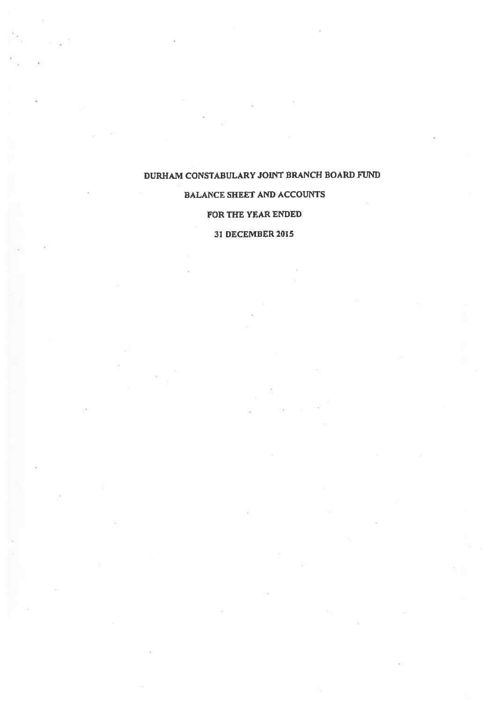## BALANCE SHEET AND ACCOUNTS

### FOR THE YEAR ENDED

## 31 DECEMBER 2015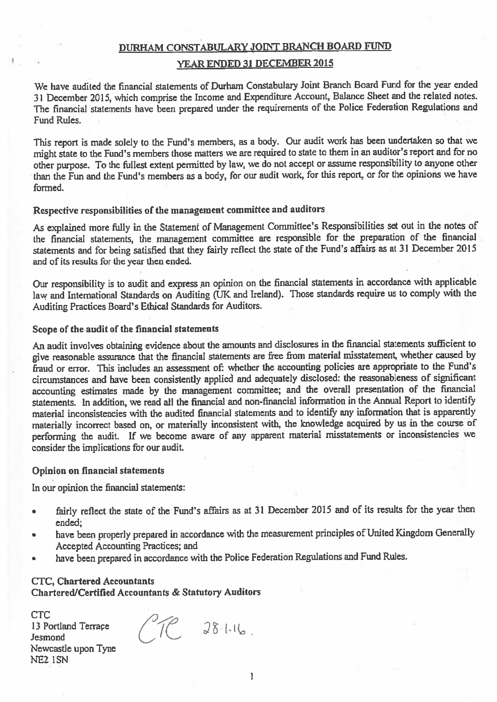#### YEAR ENDED 31 DECEMBER 2015

We have audited the financial statements of Durham Constabulaxy Joint Branch Board Fund for the year ended <sup>31</sup> December 2015, which comprise the Income and Expenditure Account, Balance Sheet and the related notes. The financial statements have been prepare<sup>d</sup> under the requirements of the Police Federation Regulations and Fund Rules.

This repor<sup>t</sup> is made solely to the Fund's members, as <sup>a</sup> body. Our audit work has been undertaken so that we might state to the Fund's members those matters we are required to state to them in an auditor's repor<sup>t</sup> and for no other purpose. To the fullest extent permitted by law, we do not accep<sup>t</sup> or assume responsibility to anyone other than the Fun and the Fund's members as <sup>a</sup> body, for our audit work, for this report, or for the opinions we have formed.

## Respective responsibilities of the managemen<sup>t</sup> committee and auditors

As explained more filly in the Statement of Management Committee's Responsibilities set out in the notes of the financial statements, the managemen<sup>t</sup> committee are responsible for the preparation of the financial statements and for being satisfied that they fairly reflect the state of the Fund's affairs as at <sup>31</sup> December <sup>2015</sup> and of its results for the year then ended.

Our responsibility is to audit and express an opinion on the financial statements in accordance with applicable law and International Standards on Auditing (UK and Ireland). Those standards require us to comply with the Auditing Practices Board's Ethical Standards for Auditors.

#### Scope of the audit of the financial statements

An audit involves obtaining evidence about the amounts and disclosures in the financial statements sufficient to <sup>g</sup>ive reasonable assurance that the financial statements are free from material misstatement, whether caused by fraud or error. This includes an assessment of: whether the accounting policies are appropriate to the Fund's circumstances and have been consistently applied and adequately disclosed: the reasonableness of significant accounting estimates made by the managemen<sup>t</sup> committee; and the overall presentation of the financial statements. In addition, we read all the financial and non-financial information in the Annual Report to identify material inconsistencies with the audited financial statements and to identify any information that is apparently materially incorrect based on, or materially inconsistent with, the knowledge acquired by us in the course of performing the audit. If we become aware of any apparent material misstatements or inconsistencies we consider the implications for our audit.

#### Opinion on financial statements

In our opinion the financial statements:

- fairly reflect the state of the Fund's affairs as at <sup>31</sup> December <sup>2015</sup> and of its results for the year then ended;
- • have been properly prepare<sup>d</sup> in accordance with the measurement principles of United Kingdom Generally Accepted Accounting Practices; and
- •have been prepare<sup>d</sup> in accordance with the Police Federation Regulations and Fund Rules.

#### CTC, Chartered Accountants

Chartered/Certified Accountants & Statutory Auditors

CTC 13 Portland Terrace **Jesmond** Newcastle upon Tyne WE2 ISN

 $70.28116$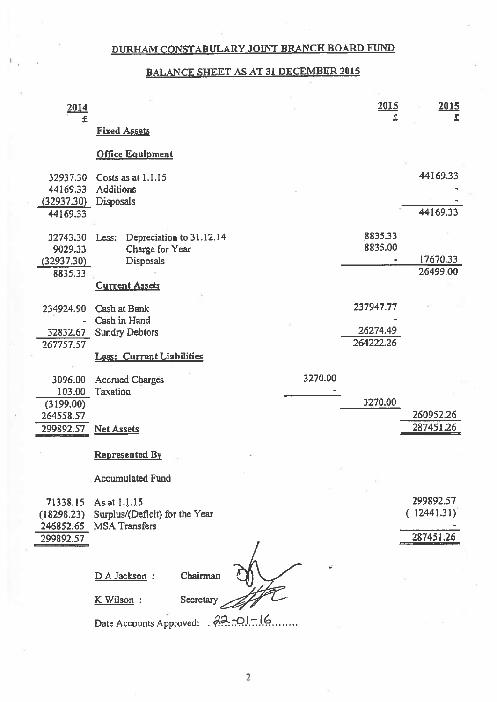## BALANCE SHEET AS AT 31 DECEMBER 2015

| 2014                                           |                                                                           | 2015<br>£             | 2015<br>£               |
|------------------------------------------------|---------------------------------------------------------------------------|-----------------------|-------------------------|
| £                                              | <b>Fixed Assets</b>                                                       |                       |                         |
|                                                | <b>Office Equipment</b>                                                   |                       |                         |
| 32937.30<br>44169.33<br>(32937.30)<br>44169.33 | Costs as at 1.1.15<br><b>Additions</b><br><b>Disposals</b>                |                       | 44169.33<br>44169.33    |
| 32743.30<br>9029.33<br>(32937.30)<br>8835.33   | Depreciation to 31.12.14<br>Less:<br>Charge for Year<br><b>Disposals</b>  | 8835.33<br>8835.00    | 17670.33<br>26499.00    |
|                                                | <b>Current Assets</b>                                                     |                       |                         |
| 234924.90                                      | <b>Cash at Bank</b><br>Cash in Hand                                       | 237947.77             |                         |
| 32832.67<br>267757.57                          | <b>Sundry Debtors</b>                                                     | 26274.49<br>264222.26 |                         |
|                                                | <b>Less: Current Liabilities</b>                                          |                       |                         |
| 3096.00<br>103.00<br>(3199.00)<br>264558.57    | 3270.00<br><b>Accrued Charges</b><br>Taxation                             | 3270.00               | 260952.26               |
| 299892.57                                      | <b>Net Assets</b>                                                         |                       | 287451.26               |
|                                                | <b>Represented By</b>                                                     |                       |                         |
|                                                | <b>Accumulated Fund</b>                                                   |                       |                         |
| 71338.15<br>(18298.23)                         | As at 1.1.15<br>Surplus/(Deficit) for the Year<br>246852.65 MSA Transfers |                       | 299892.57<br>(12441.31) |
| 299892.57                                      |                                                                           |                       | 287451.26               |
|                                                | Chairman<br>D A Jackson :                                                 |                       |                         |
|                                                | K Wilson:<br>Secretary                                                    |                       |                         |
|                                                | Date Accounts Approved: 22-01-16                                          |                       |                         |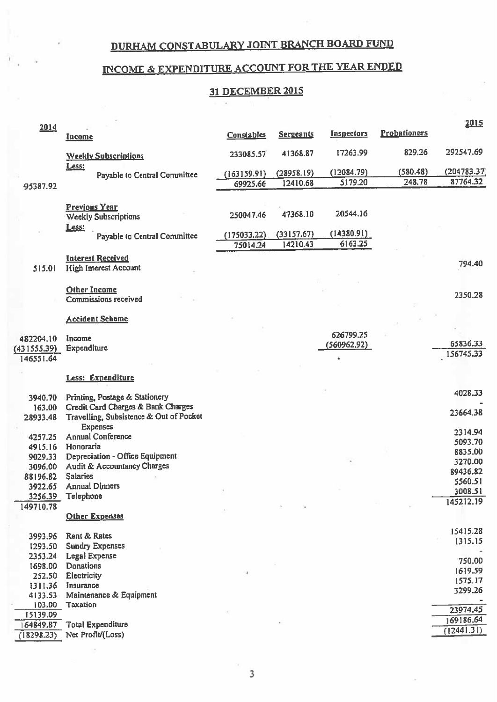### NCOME & EXPENDITURE ACCOUNT FOR THE YEAR ENDED

## 31 DECEMBER 2015

|             |                                                          |                   |                  |                   |                     | 2015        |
|-------------|----------------------------------------------------------|-------------------|------------------|-------------------|---------------------|-------------|
| 2014        | <b>Income</b>                                            | <b>Constables</b> | <b>Sergeants</b> | <b>Inspectors</b> | <b>Probationers</b> |             |
|             | <b>Weekly Subscriptions</b>                              | 233085.57         | 41368.87         | 17263.99          | 829.26              | 292547.69   |
|             | Less:                                                    | (163159.91)       | (28958, 19)      | (12084.79)        | (580.48)            | (204783.37) |
|             | Payable to Central Committee                             |                   | 12410.68         | 5179.20           | 248.78              | 87764.32    |
| -95387.92   |                                                          | 69925.66          |                  |                   |                     |             |
|             | <b>Previous Year</b><br><b>Weekly Subscriptions</b>      | 250047.46         | 47368.10         | 20544.16          |                     |             |
|             | Less:<br>Payable to Central Committee                    | (175033.22)       | (33157.67)       | (14380.91)        |                     |             |
|             |                                                          | 75014.24          | 14210.43         | 6163.25           |                     |             |
|             |                                                          |                   |                  |                   |                     |             |
| 515.01      | <b>Interest Received</b><br><b>High Interest Account</b> |                   |                  |                   |                     | 794.40      |
|             |                                                          |                   |                  |                   |                     |             |
|             | <b>Other Income</b>                                      |                   |                  |                   |                     | 2350.28     |
|             | Commissions received                                     |                   |                  |                   |                     |             |
|             |                                                          |                   |                  |                   |                     |             |
|             | <b>Accident Scheme</b>                                   |                   |                  |                   |                     |             |
|             |                                                          |                   |                  | 626799.25         |                     |             |
| 482204.10   | Income                                                   |                   |                  | (560962.92)       |                     | 65836.33    |
| (431555.39) | Expenditure                                              |                   |                  |                   |                     | 156745.33   |
| 146551.64   |                                                          |                   |                  | $\bullet$         |                     |             |
|             | <b>Less: Expenditure</b>                                 |                   |                  |                   |                     |             |
| 3940.70     | Printing, Postage & Stationery                           |                   |                  |                   |                     | 4028.33     |
| 163.00      | <b>Credit Card Charges &amp; Bank Charges</b>            |                   |                  |                   |                     |             |
| 28933.48    | Travelling, Subsistence & Out of Pocket                  |                   |                  |                   |                     | 23664.38    |
|             | <b>Expenses</b>                                          |                   |                  |                   |                     |             |
| 4257.25     | <b>Annual Conference</b>                                 |                   |                  |                   |                     | 2314.94     |
| 4915.16     | Honoraria                                                |                   |                  |                   |                     | 5093.70     |
| 9029.33     | <b>Depreciation - Office Equipment</b>                   |                   |                  |                   |                     | 8835.00     |
| 3096.00     | Audit & Accountancy Charges                              |                   |                  |                   |                     | 3270.00     |
| 88196.82    | <b>Salaries</b>                                          |                   |                  |                   |                     | 89436.82    |
| 3922.65     | <b>Annual Dinners</b>                                    |                   |                  |                   |                     | 5560.51     |
| 3256.39     | Telephone                                                |                   |                  |                   |                     | 3008.51     |
| 149710.78   |                                                          |                   |                  |                   |                     | 145212.19   |
|             | <b>Other Expenses</b>                                    |                   |                  |                   |                     |             |
|             |                                                          |                   |                  |                   |                     | 15415.28    |
| 3993.96     | Rent & Rates                                             |                   |                  |                   |                     | 1315.15     |
| 1293.50     | <b>Sundry Expenses</b>                                   |                   |                  |                   |                     |             |
| 2353.24     | <b>Legal Expense</b>                                     |                   |                  |                   |                     | 750.00      |
| 1698.00     | <b>Donations</b>                                         |                   |                  |                   |                     | 1619.59     |
| 252.50      | Electricity                                              |                   |                  |                   |                     | 1575.17     |
| 1311.36     | Insurance                                                |                   |                  |                   |                     | 3299.26     |
| 4133.53     | Maintenance & Equipment                                  |                   |                  |                   |                     |             |
| 103.00      | <b>Taxation</b>                                          |                   |                  |                   |                     | 23974.45    |
| 15139.09    |                                                          |                   |                  |                   |                     | 169186.64   |
| 164849.87   | <b>Total Expenditure</b>                                 |                   |                  |                   |                     | (12441.31)  |
| (18298.23)  | Net Profit/(Loss)                                        |                   |                  |                   |                     |             |
|             |                                                          |                   |                  |                   |                     |             |